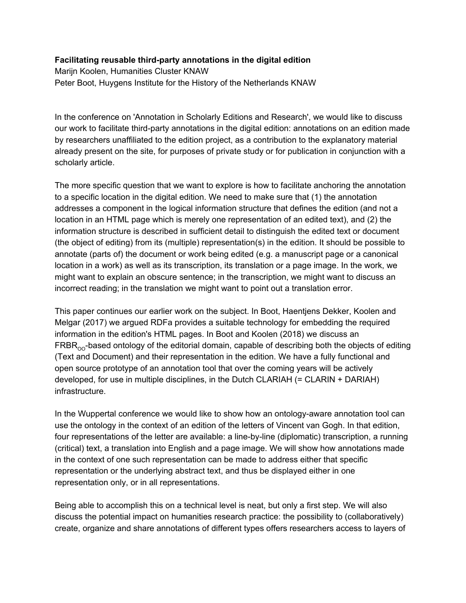## **Facilitating reusable third-party annotations in the digital edition**

Marijn Koolen, Humanities Cluster KNAW Peter Boot, Huygens Institute for the History of the Netherlands KNAW

In the conference on 'Annotation in Scholarly Editions and Research', we would like to discuss our work to facilitate third-party annotations in the digital edition: annotations on an edition made by researchers unaffiliated to the edition project, as a contribution to the explanatory material already present on the site, for purposes of private study or for publication in conjunction with a scholarly article.

The more specific question that we want to explore is how to facilitate anchoring the annotation to a specific location in the digital edition. We need to make sure that (1) the annotation addresses a component in the logical information structure that defines the edition (and not a location in an HTML page which is merely one representation of an edited text), and (2) the information structure is described in sufficient detail to distinguish the edited text or document (the object of editing) from its (multiple) representation(s) in the edition. It should be possible to annotate (parts of) the document or work being edited (e.g. a manuscript page or a canonical location in a work) as well as its transcription, its translation or a page image. In the work, we might want to explain an obscure sentence; in the transcription, we might want to discuss an incorrect reading; in the translation we might want to point out a translation error.

This paper continues our earlier work on the subject. In Boot, Haentjens Dekker, Koolen and Melgar (2017) we argued RDFa provides a suitable technology for embedding the required information in the edition's HTML pages. In Boot and Koolen (2018) we discuss an  $\mathsf{FRBR}_{\mathrm{OO}}$ -based ontology of the editorial domain, capable of describing both the objects of editing (Text and Document) and their representation in the edition. We have a fully functional and open source prototype of an annotation tool that over the coming years will be actively developed, for use in multiple disciplines, in the Dutch CLARIAH (= CLARIN + DARIAH) infrastructure.

In the Wuppertal conference we would like to show how an ontology-aware annotation tool can use the ontology in the context of an edition of the letters of Vincent van Gogh. In that edition, four representations of the letter are available: a line-by-line (diplomatic) transcription, a running (critical) text, a translation into English and a page image. We will show how annotations made in the context of one such representation can be made to address either that specific representation or the underlying abstract text, and thus be displayed either in one representation only, or in all representations.

Being able to accomplish this on a technical level is neat, but only a first step. We will also discuss the potential impact on humanities research practice: the possibility to (collaboratively) create, organize and share annotations of different types offers researchers access to layers of